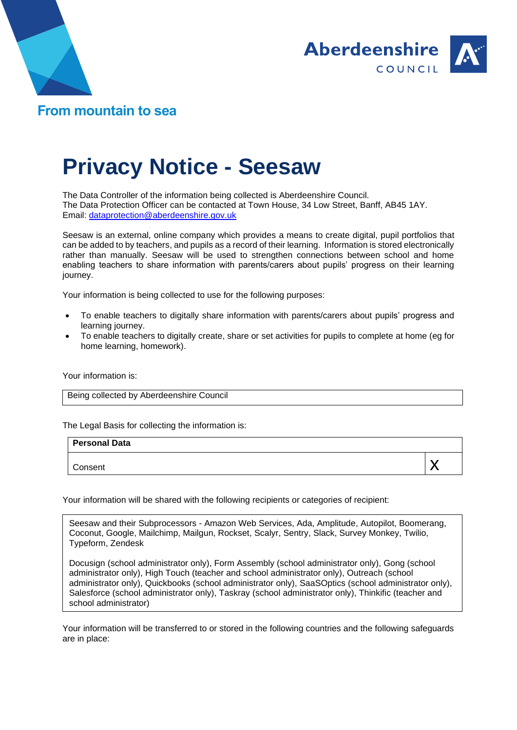



## **Privacy Notice - Seesaw**

The Data Controller of the information being collected is Aberdeenshire Council. The Data Protection Officer can be contacted at Town House, 34 Low Street, Banff, AB45 1AY. Email: [dataprotection@aberdeenshire.gov.uk](mailto:dataprotection@aberdeenshire.gov.uk)

Seesaw is an external, online company which provides a means to create digital, pupil portfolios that can be added to by teachers, and pupils as a record of their learning. Information is stored electronically rather than manually. Seesaw will be used to strengthen connections between school and home enabling teachers to share information with parents/carers about pupils' progress on their learning journey.

Your information is being collected to use for the following purposes:

- To enable teachers to digitally share information with parents/carers about pupils' progress and learning journey.
- To enable teachers to digitally create, share or set activities for pupils to complete at home (eg for home learning, homework).

Your information is:

Being collected by Aberdeenshire Council

The Legal Basis for collecting the information is:

| <b>Personal Data</b> |  |
|----------------------|--|
| Consent              |  |

Your information will be shared with the following recipients or categories of recipient:

Seesaw and their Subprocessors - Amazon Web Services, Ada, Amplitude, Autopilot, Boomerang, Coconut, Google, Mailchimp, Mailgun, Rockset, Scalyr, Sentry, Slack, Survey Monkey, Twilio, Typeform, Zendesk

Docusign (school administrator only), Form Assembly (school administrator only), Gong (school administrator only), High Touch (teacher and school administrator only), Outreach (school administrator only), Quickbooks (school administrator only), SaaSOptics (school administrator only), Salesforce (school administrator only), Taskray (school administrator only), Thinkific (teacher and school administrator)

Your information will be transferred to or stored in the following countries and the following safeguards are in place: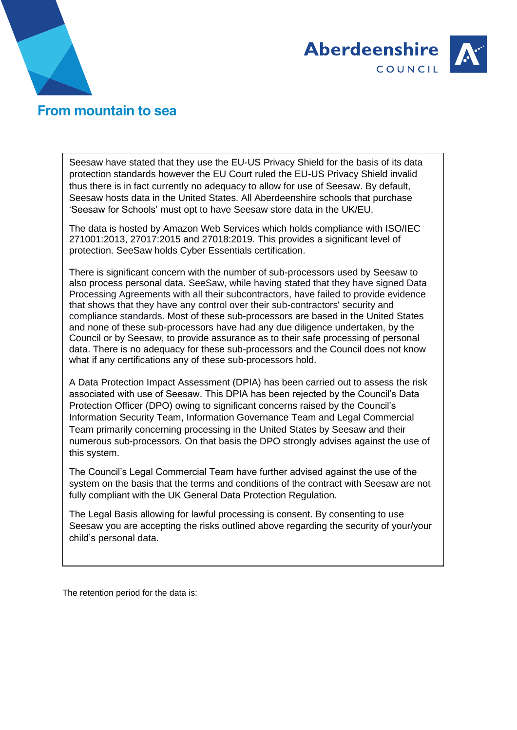



## **From mountain to sea**

Seesaw have stated that they use the EU-US Privacy Shield for the basis of its data protection standards however the EU Court ruled the EU-US Privacy Shield invalid thus there is in fact currently no adequacy to allow for use of Seesaw. By default, Seesaw hosts data in the United States. All Aberdeenshire schools that purchase 'Seesaw for Schools' must opt to have Seesaw store data in the UK/EU.

The data is hosted by Amazon Web Services which holds compliance with ISO/IEC 271001:2013, 27017:2015 and 27018:2019. This provides a significant level of protection. SeeSaw holds Cyber Essentials certification.

There is significant concern with the number of sub-processors used by Seesaw to also process personal data. SeeSaw, while having stated that they have signed Data Processing Agreements with all their subcontractors, have failed to provide evidence that shows that they have any control over their sub-contractors' security and compliance standards. Most of these sub-processors are based in the United States and none of these sub-processors have had any due diligence undertaken, by the Council or by Seesaw, to provide assurance as to their safe processing of personal data. There is no adequacy for these sub-processors and the Council does not know what if any certifications any of these sub-processors hold.

A Data Protection Impact Assessment (DPIA) has been carried out to assess the risk associated with use of Seesaw. This DPIA has been rejected by the Council's Data Protection Officer (DPO) owing to significant concerns raised by the Council's Information Security Team, Information Governance Team and Legal Commercial Team primarily concerning processing in the United States by Seesaw and their numerous sub-processors. On that basis the DPO strongly advises against the use of this system.

The Council's Legal Commercial Team have further advised against the use of the system on the basis that the terms and conditions of the contract with Seesaw are not fully compliant with the UK General Data Protection Regulation.

The Legal Basis allowing for lawful processing is consent. By consenting to use Seesaw you are accepting the risks outlined above regarding the security of your/your child's personal data.

The retention period for the data is: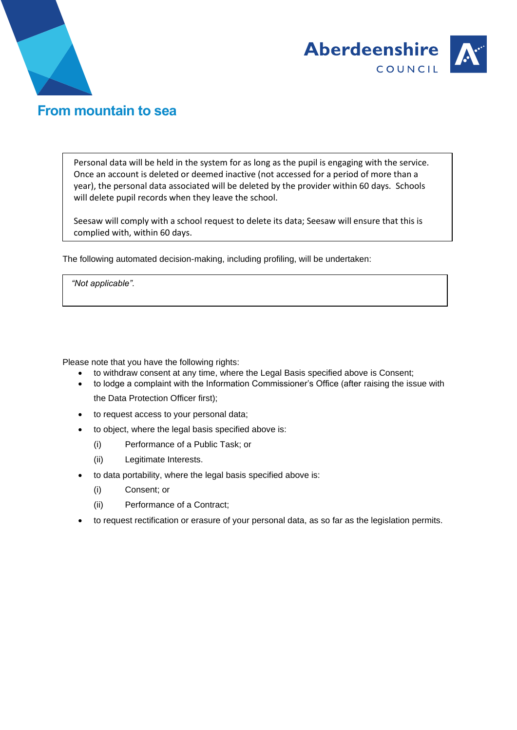



## **From mountain to sea**

Personal data will be held in the system for as long as the pupil is engaging with the service. Once an account is deleted or deemed inactive (not accessed for a period of more than a year), the personal data associated will be deleted by the provider within 60 days. Schools will delete pupil records when they leave the school.

Seesaw will comply with a school request to delete its data; Seesaw will ensure that this is complied with, within 60 days.

The following automated decision-making, including profiling, will be undertaken:

*"Not applicable".*

Please note that you have the following rights:

- to withdraw consent at any time, where the Legal Basis specified above is Consent;
- to lodge a complaint with the Information Commissioner's Office (after raising the issue with the Data Protection Officer first);
- to request access to your personal data;
- to object, where the legal basis specified above is:
	- (i) Performance of a Public Task; or
	- (ii) Legitimate Interests.
- to data portability, where the legal basis specified above is:
	- (i) Consent; or
	- (ii) Performance of a Contract;
- to request rectification or erasure of your personal data, as so far as the legislation permits.